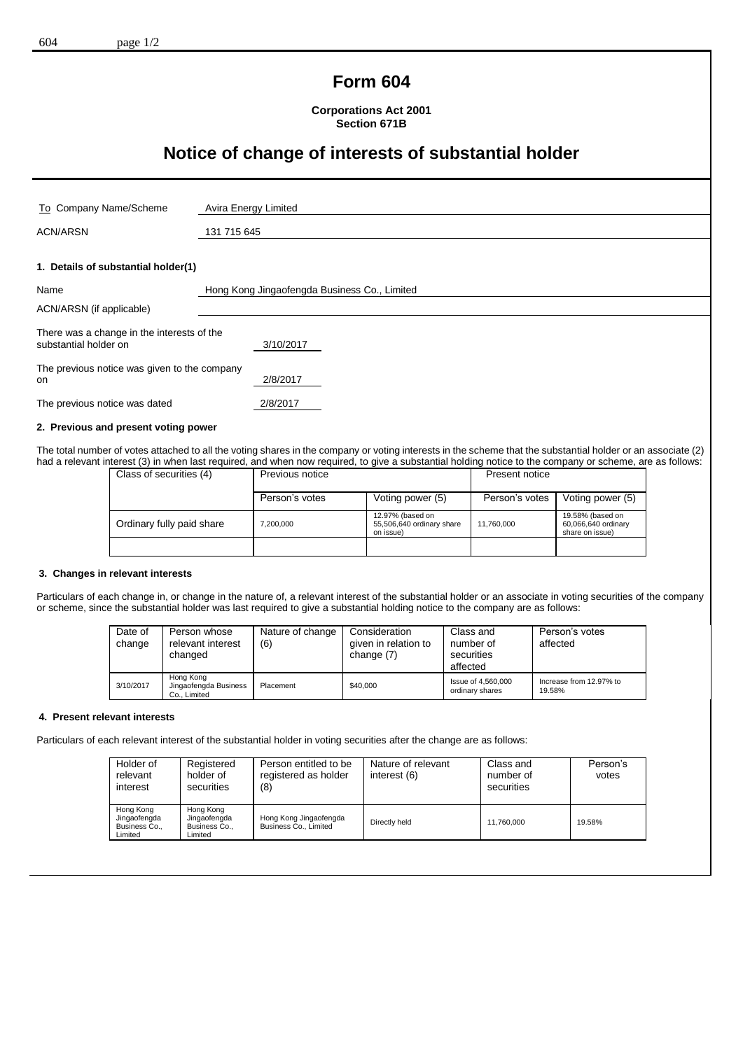## **Form 604**

**Corporations Act 2001 Section 671B**

# **Notice of change of interests of substantial holder**

| To Company Name/Scheme                                              | Avira Energy Limited                         |  |
|---------------------------------------------------------------------|----------------------------------------------|--|
| <b>ACN/ARSN</b>                                                     | 131 715 645                                  |  |
|                                                                     |                                              |  |
| 1. Details of substantial holder(1)                                 |                                              |  |
| Name                                                                | Hong Kong Jingaofengda Business Co., Limited |  |
| ACN/ARSN (if applicable)                                            |                                              |  |
| There was a change in the interests of the<br>substantial holder on | 3/10/2017                                    |  |
| The previous notice was given to the company<br><b>on</b>           | 2/8/2017                                     |  |
| The previous notice was dated                                       | 2/8/2017                                     |  |
| 2. Previous and present voting power                                |                                              |  |

The total number of votes attached to all the voting shares in the company or voting interests in the scheme that the substantial holder or an associate (2) had a relevant interest (3) in when last required, and when now required, to give a substantial holding notice to the company or scheme, are as follows:

| Class of securities (4)   | Previous notice |                                                            | Present notice |                                                            |
|---------------------------|-----------------|------------------------------------------------------------|----------------|------------------------------------------------------------|
|                           | Person's votes  | Voting power (5)                                           | Person's votes | Voting power (5)                                           |
| Ordinary fully paid share | 7,200,000       | 12.97% (based on<br>55,506,640 ordinary share<br>on issue) | 11,760,000     | 19.58% (based on<br>60,066,640 ordinary<br>share on issue) |
|                           |                 |                                                            |                |                                                            |

#### **3. Changes in relevant interests**

Particulars of each change in, or change in the nature of, a relevant interest of the substantial holder or an associate in voting securities of the company or scheme, since the substantial holder was last required to give a substantial holding notice to the company are as follows:

| Date of<br>change | Person whose<br>relevant interest<br>changed       | Nature of change<br>(6) | Consideration<br>given in relation to<br>change (7) | Class and<br>number of<br>securities<br>affected | Person's votes<br>affected        |
|-------------------|----------------------------------------------------|-------------------------|-----------------------------------------------------|--------------------------------------------------|-----------------------------------|
| 3/10/2017         | Hong Kong<br>Jingaofengda Business<br>Co., Limited | Placement               | \$40,000                                            | Issue of 4,560,000<br>ordinary shares            | Increase from 12.97% to<br>19.58% |

## **4. Present relevant interests**

Particulars of each relevant interest of the substantial holder in voting securities after the change are as follows:

| Holder of<br>relevant<br>interest                     | Registered<br>holder of<br>securities                 | Person entitled to be<br>registered as holder<br>(8) | Nature of relevant<br>interest (6) | Class and<br>number of<br>securities | Person's<br>votes |
|-------------------------------------------------------|-------------------------------------------------------|------------------------------------------------------|------------------------------------|--------------------------------------|-------------------|
| Hong Kong<br>Jingaofengda<br>Business Co.,<br>Limited | Hong Kong<br>Jingaofengda<br>Business Co.,<br>Limited | Hong Kong Jingaofengda<br>Business Co., Limited      | Directly held                      | 11.760.000                           | 19.58%            |